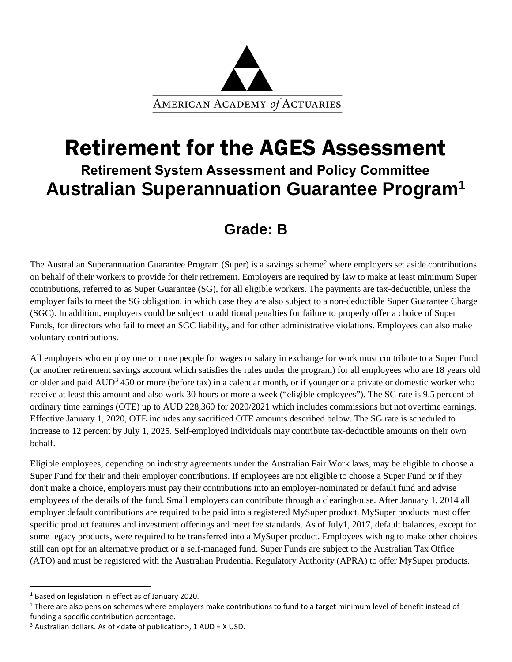

# Retirement for the AGES Assessment **Retirement System Assessment and Policy Committee Australian Superannuation Guarantee Program[1](#page-0-0)**

## **Grade: B**

The Australian Superannuation Guarantee Program (Super) is a savings scheme<sup>[2](#page-0-1)</sup> where employers set aside contributions on behalf of their workers to provide for their retirement. Employers are required by law to make at least minimum Super contributions, referred to as Super Guarantee (SG), for all eligible workers. The payments are tax-deductible, unless the employer fails to meet the SG obligation, in which case they are also subject to a non-deductible Super Guarantee Charge (SGC). In addition, employers could be subject to additional penalties for failure to properly offer a choice of Super Funds, for directors who fail to meet an SGC liability, and for other administrative violations. Employees can also make voluntary contributions.

All employers who employ one or more people for wages or salary in exchange for work must contribute to a Super Fund (or another retirement savings account which satisfies the rules under the program) for all employees who are 18 years old or older and paid AUD<sup>[3](#page-0-2)</sup> 450 or more (before tax) in a calendar month, or if younger or a private or domestic worker who receive at least this amount and also work 30 hours or more a week ("eligible employees"). The SG rate is 9.5 percent of ordinary time earnings (OTE) up to AUD 228,360 for 2020/2021 which includes commissions but not overtime earnings. Effective January 1, 2020, OTE includes any sacrificed OTE amounts described below. The SG rate is scheduled to increase to 12 percent by July 1, 2025. Self-employed individuals may contribute tax-deductible amounts on their own behalf.

Eligible employees, depending on industry agreements under the Australian Fair Work laws, may be eligible to choose a Super Fund for their and their employer contributions. If employees are not eligible to choose a Super Fund or if they don't make a choice, employers must pay their contributions into an employer-nominated or default fund and advise employees of the details of the fund. Small employers can contribute through a clearinghouse. After January 1, 2014 all employer default contributions are required to be paid into a registered MySuper product. MySuper products must offer specific product features and investment offerings and meet fee standards. As of July1, 2017, default balances, except for some legacy products, were required to be transferred into a MySuper product. Employees wishing to make other choices still can opt for an alternative product or a self-managed fund. Super Funds are subject to the Australian Tax Office (ATO) and must be registered with the Australian Prudential Regulatory Authority (APRA) to offer MySuper products.

<span id="page-0-1"></span><span id="page-0-0"></span><sup>&</sup>lt;sup>1</sup> Based on legislation in effect as of January 2020.<br><sup>2</sup> There are also pension schemes where employers make contributions to fund to a target minimum level of benefit instead of funding a specific contribution percentage.

<span id="page-0-2"></span> $3$  Australian dollars. As of <date of publication>, 1 AUD = X USD.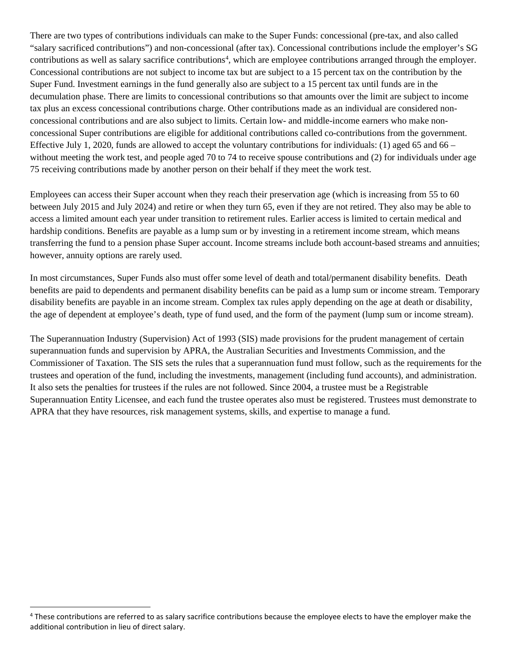There are two types of contributions individuals can make to the Super Funds: concessional (pre-tax, and also called "salary sacrificed contributions") and non-concessional (after tax). Concessional contributions include the employer's SG contributions as well as salary sacrifice contributions<sup>[4](#page-1-0)</sup>, which are employee contributions arranged through the employer. Concessional contributions are not subject to income tax but are subject to a 15 percent tax on the contribution by the Super Fund. Investment earnings in the fund generally also are subject to a 15 percent tax until funds are in the decumulation phase. There are limits to concessional contributions so that amounts over the limit are subject to income tax plus an excess concessional contributions charge. Other contributions made as an individual are considered nonconcessional contributions and are also subject to limits. Certain low- and middle-income earners who make nonconcessional Super contributions are eligible for additional contributions called co-contributions from the government. Effective July 1, 2020, funds are allowed to accept the voluntary contributions for individuals: (1) aged 65 and 66 – without meeting the work test, and people aged 70 to 74 to receive spouse contributions and (2) for individuals under age 75 receiving contributions made by another person on their behalf if they meet the work test.

Employees can access their Super account when they reach their preservation age (which is increasing from 55 to 60 between July 2015 and July 2024) and retire or when they turn 65, even if they are not retired. They also may be able to access a limited amount each year under transition to retirement rules. Earlier access is limited to certain medical and hardship conditions. Benefits are payable as a lump sum or by investing in a retirement income stream, which means transferring the fund to a pension phase Super account. Income streams include both account-based streams and annuities; however, annuity options are rarely used.

In most circumstances, Super Funds also must offer some level of death and total/permanent disability benefits. Death benefits are paid to dependents and permanent disability benefits can be paid as a lump sum or income stream. Temporary disability benefits are payable in an income stream. Complex tax rules apply depending on the age at death or disability, the age of dependent at employee's death, type of fund used, and the form of the payment (lump sum or income stream).

The Superannuation Industry (Supervision) Act of 1993 (SIS) made provisions for the prudent management of certain superannuation funds and supervision by APRA, the Australian Securities and Investments Commission, and the Commissioner of Taxation. The SIS sets the rules that a superannuation fund must follow, such as the requirements for the trustees and operation of the fund, including the investments, management (including fund accounts), and administration. It also sets the penalties for trustees if the rules are not followed. Since 2004, a trustee must be a Registrable Superannuation Entity Licensee, and each fund the trustee operates also must be registered. Trustees must demonstrate to APRA that they have resources, risk management systems, skills, and expertise to manage a fund.

<span id="page-1-0"></span><sup>4</sup> These contributions are referred to as salary sacrifice contributions because the employee elects to have the employer make the additional contribution in lieu of direct salary.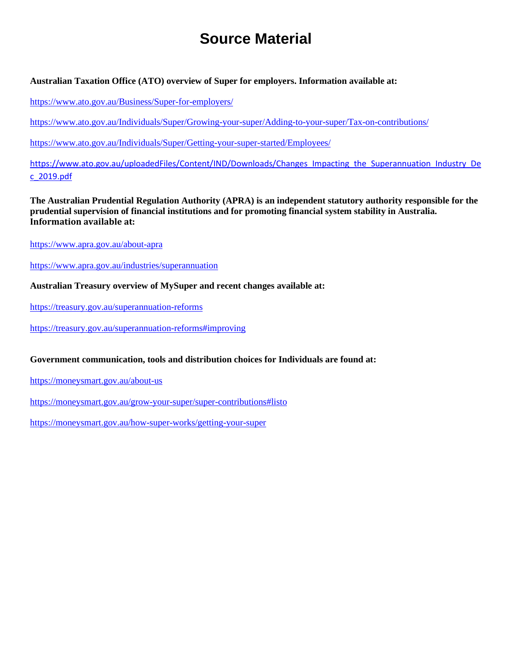# **Source Material**

#### **Australian Taxation Office (ATO) overview of Super for employers. Information available at:**

<https://www.ato.gov.au/Business/Super-for-employers/>

<https://www.ato.gov.au/Individuals/Super/Growing-your-super/Adding-to-your-super/Tax-on-contributions/>

<https://www.ato.gov.au/Individuals/Super/Getting-your-super-started/Employees/>

[https://www.ato.gov.au/uploadedFiles/Content/IND/Downloads/Changes\\_Impacting\\_the\\_Superannuation\\_Industry\\_De](https://www.ato.gov.au/uploadedFiles/Content/IND/Downloads/Changes_Impacting_the_Superannuation_Industry_Dec_2019.pdf) [c\\_2019.pdf](https://www.ato.gov.au/uploadedFiles/Content/IND/Downloads/Changes_Impacting_the_Superannuation_Industry_Dec_2019.pdf)

**The Australian Prudential Regulation Authority (APRA) is an independent statutory authority responsible for the prudential supervision of financial institutions and for promoting financial system stability in Australia. Information available at:**

<https://www.apra.gov.au/about-apra>

<https://www.apra.gov.au/industries/superannuation>

**Australian Treasury overview of MySuper and recent changes available at:**

<https://treasury.gov.au/superannuation-reforms>

<https://treasury.gov.au/superannuation-reforms#improving>

**Government communication, tools and distribution choices for Individuals are found at:**

<https://moneysmart.gov.au/about-us>

<https://moneysmart.gov.au/grow-your-super/super-contributions#listo>

<https://moneysmart.gov.au/how-super-works/getting-your-super>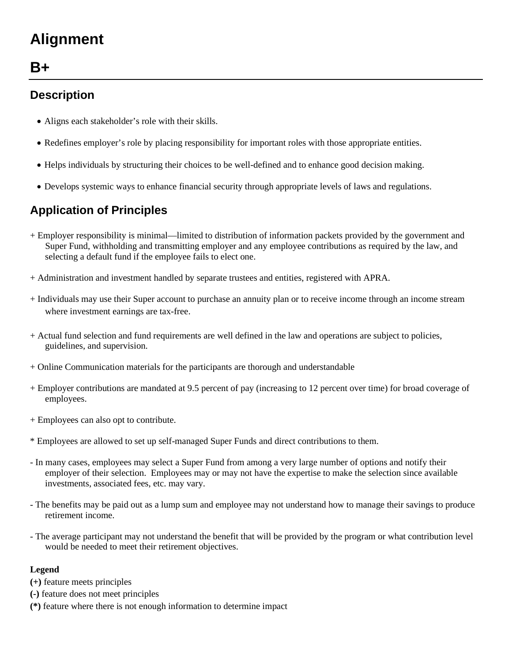# **Alignment**

## **B+**

### **Description**

- Aligns each stakeholder's role with their skills.
- Redefines employer's role by placing responsibility for important roles with those appropriate entities.
- Helps individuals by structuring their choices to be well-defined and to enhance good decision making.
- Develops systemic ways to enhance financial security through appropriate levels of laws and regulations.

## **Application of Principles**

- + Employer responsibility is minimal—limited to distribution of information packets provided by the government and Super Fund, withholding and transmitting employer and any employee contributions as required by the law, and selecting a default fund if the employee fails to elect one.
- + Administration and investment handled by separate trustees and entities, registered with APRA.
- + Individuals may use their Super account to purchase an annuity plan or to receive income through an income stream where investment earnings are tax-free.
- + Actual fund selection and fund requirements are well defined in the law and operations are subject to policies, guidelines, and supervision.
- + Online Communication materials for the participants are thorough and understandable
- + Employer contributions are mandated at 9.5 percent of pay (increasing to 12 percent over time) for broad coverage of employees.
- + Employees can also opt to contribute.
- \* Employees are allowed to set up self-managed Super Funds and direct contributions to them.
- In many cases, employees may select a Super Fund from among a very large number of options and notify their employer of their selection. Employees may or may not have the expertise to make the selection since available investments, associated fees, etc. may vary.
- The benefits may be paid out as a lump sum and employee may not understand how to manage their savings to produce retirement income.
- The average participant may not understand the benefit that will be provided by the program or what contribution level would be needed to meet their retirement objectives.

#### **Legend**

- **(+)** feature meets principles
- **(-)** feature does not meet principles
- **(\*)** feature where there is not enough information to determine impact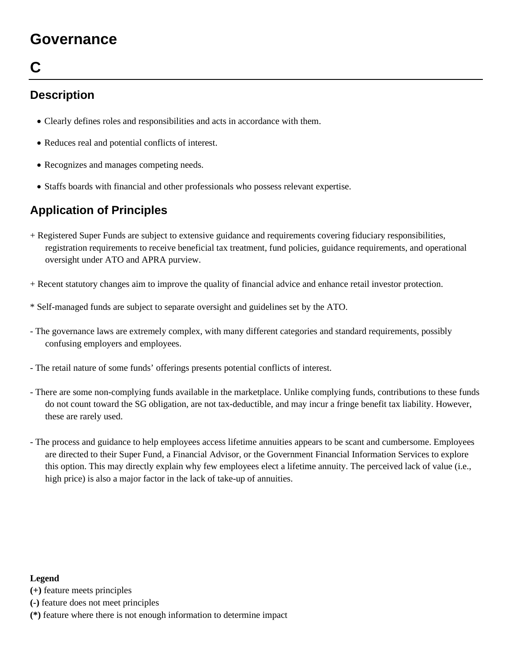## **Governance**

# **C**

### **Description**

- Clearly defines roles and responsibilities and acts in accordance with them.
- Reduces real and potential conflicts of interest.
- Recognizes and manages competing needs.
- Staffs boards with financial and other professionals who possess relevant expertise.

## **Application of Principles**

- + Registered Super Funds are subject to extensive guidance and requirements covering fiduciary responsibilities, registration requirements to receive beneficial tax treatment, fund policies, guidance requirements, and operational oversight under ATO and APRA purview.
- + Recent statutory changes aim to improve the quality of financial advice and enhance retail investor protection.
- \* Self-managed funds are subject to separate oversight and guidelines set by the ATO.
- The governance laws are extremely complex, with many different categories and standard requirements, possibly confusing employers and employees.
- The retail nature of some funds' offerings presents potential conflicts of interest.
- There are some non-complying funds available in the marketplace. Unlike complying funds, contributions to these funds do not count toward the SG obligation, are not tax-deductible, and may incur a fringe benefit tax liability. However, these are rarely used.
- The process and guidance to help employees access lifetime annuities appears to be scant and cumbersome. Employees are directed to their Super Fund, a Financial Advisor, or the Government Financial Information Services to explore this option. This may directly explain why few employees elect a lifetime annuity. The perceived lack of value (i.e., high price) is also a major factor in the lack of take-up of annuities.

#### **Legend**

**(+)** feature meets principles

- **(-)** feature does not meet principles
- **(\*)** feature where there is not enough information to determine impact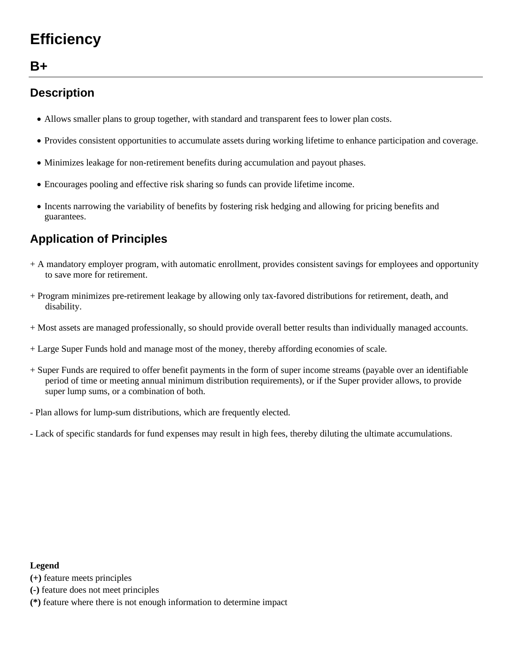# **Efficiency**

## **B+**

### **Description**

- Allows smaller plans to group together, with standard and transparent fees to lower plan costs.
- Provides consistent opportunities to accumulate assets during working lifetime to enhance participation and coverage.
- Minimizes leakage for non-retirement benefits during accumulation and payout phases.
- Encourages pooling and effective risk sharing so funds can provide lifetime income.
- Incents narrowing the variability of benefits by fostering risk hedging and allowing for pricing benefits and guarantees.

### **Application of Principles**

- + A mandatory employer program, with automatic enrollment, provides consistent savings for employees and opportunity to save more for retirement.
- + Program minimizes pre-retirement leakage by allowing only tax-favored distributions for retirement, death, and disability.
- + Most assets are managed professionally, so should provide overall better results than individually managed accounts.
- + Large Super Funds hold and manage most of the money, thereby affording economies of scale.
- + Super Funds are required to offer benefit payments in the form of super income streams (payable over an identifiable period of time or meeting annual minimum distribution requirements), or if the Super provider allows, to provide super lump sums, or a combination of both.
- Plan allows for lump-sum distributions, which are frequently elected.
- Lack of specific standards for fund expenses may result in high fees, thereby diluting the ultimate accumulations.

#### **Legend**

- **(+)** feature meets principles
- **(-)** feature does not meet principles
- **(\*)** feature where there is not enough information to determine impact